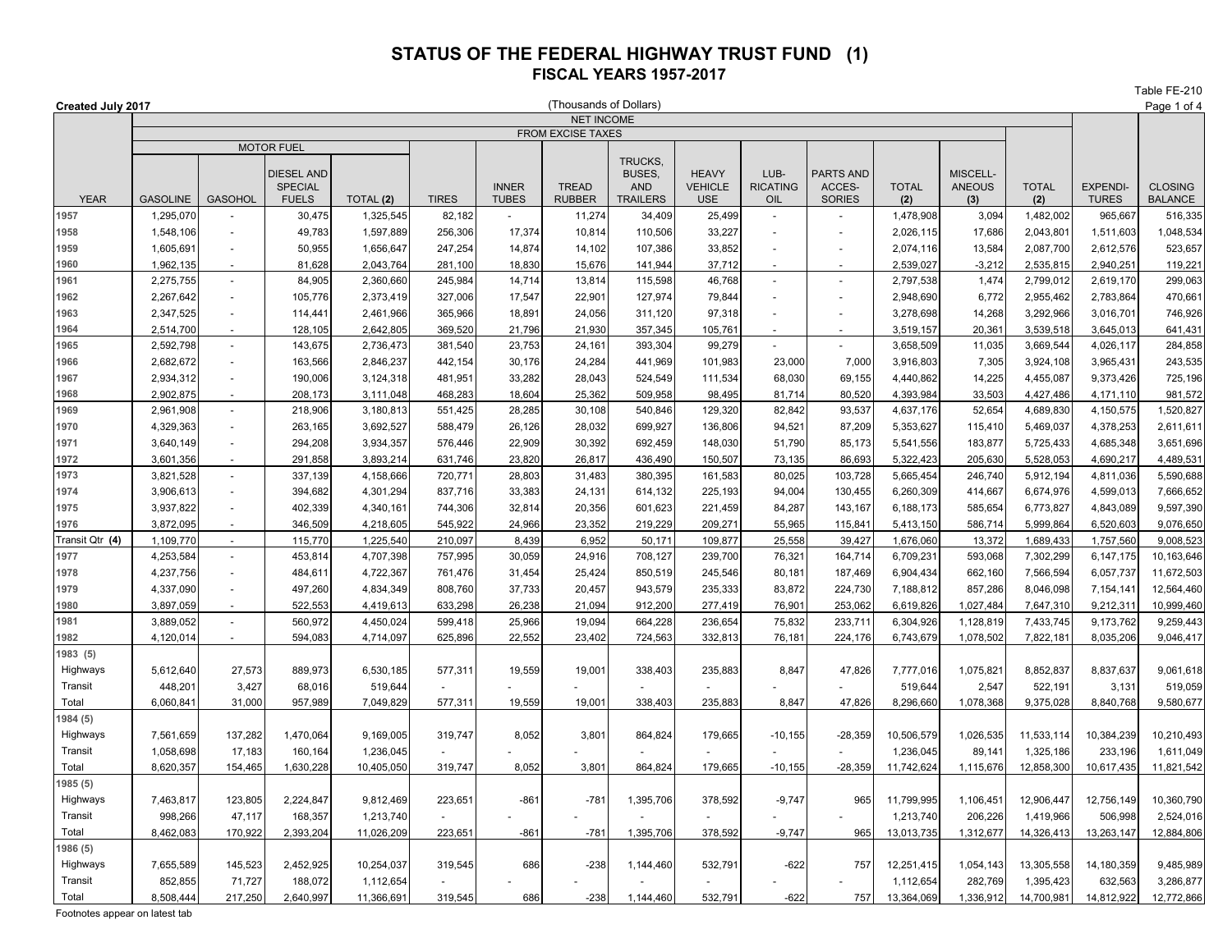Table FE-210

|                 | (Thousands of Dollars)<br>Created July 2017 |                          |                    |                        |                     |                  |                  |                    |                   |                          |                          |                        |                  |                        | Page 1 of 4            |                      |
|-----------------|---------------------------------------------|--------------------------|--------------------|------------------------|---------------------|------------------|------------------|--------------------|-------------------|--------------------------|--------------------------|------------------------|------------------|------------------------|------------------------|----------------------|
|                 | <b>NET INCOME</b>                           |                          |                    |                        |                     |                  |                  |                    |                   |                          |                          |                        |                  |                        |                        |                      |
|                 | FROM EXCISE TAXES<br><b>MOTOR FUEL</b>      |                          |                    |                        |                     |                  |                  |                    |                   |                          |                          |                        |                  |                        |                        |                      |
|                 |                                             |                          |                    |                        |                     |                  |                  | TRUCKS.            |                   |                          |                          |                        |                  |                        |                        |                      |
|                 |                                             |                          | <b>DIESEL AND</b>  |                        |                     |                  |                  | BUSES,             | <b>HEAVY</b>      | LUB-                     | PARTS AND                |                        | MISCELL-         |                        |                        |                      |
|                 |                                             |                          | <b>SPECIAL</b>     |                        |                     | <b>INNER</b>     | <b>TREAD</b>     | <b>AND</b>         | <b>VEHICLE</b>    | <b>RICATING</b>          | ACCES-                   | <b>TOTAL</b>           | <b>ANEOUS</b>    | <b>TOTAL</b>           | <b>EXPENDI-</b>        | <b>CLOSING</b>       |
| <b>YEAR</b>     | <b>GASOLINE</b>                             | <b>GASOHOL</b>           | <b>FUELS</b>       | TOTAL (2)              | <b>TIRES</b>        | <b>TUBES</b>     | <b>RUBBER</b>    | <b>TRAILERS</b>    | <b>USE</b>        | OIL                      | <b>SORIES</b>            | (2)                    | (3)              | (2)                    | <b>TURES</b>           | <b>BALANCE</b>       |
| 1957            | 1,295,070                                   |                          | 30,475             | 1,325,545              | 82,182              |                  | 11,274           | 34,409             | 25,499            | $\sim$                   |                          | 1,478,908              | 3,094            | 1,482,002              | 965,667                | 516,335              |
| 1958            | 1,548,106                                   | ÷,                       | 49,783             | 1,597,889              | 256,306             | 17,374           | 10,814           | 110,506            | 33,227            | $\sim$                   |                          | 2,026,115              | 17,686           | 2,043,801              | 1,511,603              | 1,048,534            |
| 1959            | 1,605,691                                   | ÷,                       | 50,955             | 1,656,647              | 247,254             | 14,874           | 14,102           | 107,386            | 33,852            |                          | $\overline{\phantom{a}}$ | 2,074,116              | 13,584           | 2,087,700              | 2,612,576              | 523,657              |
| 1960            | 1,962,135                                   | ÷,                       | 81,628             | 2,043,764              | 281,100             | 18,830           | 15,676           | 141,944            | 37,712            |                          |                          | 2,539,027              | $-3,212$         | 2,535,815              | 2,940,251              | 119,221              |
| 1961            | 2,275,755                                   | ÷,                       | 84,905             | 2,360,660              | 245,984             | 14,714           | 13,814           | 115,598            | 46,768            | $\overline{\phantom{a}}$ |                          | 2,797,538              | 1,474            | 2,799,012              | 2,619,170              | 299,063              |
| 1962            | 2,267,642                                   | $\overline{\phantom{a}}$ | 105,776            | 2,373,419              | 327,006             | 17,547           | 22,901           | 127,974            | 79,844            |                          |                          | 2,948,690              | 6,772            | 2,955,462              | 2,783,864              | 470,661              |
| 1963            | 2,347,525                                   | ÷,                       | 114,441            | 2,461,966              | 365,966             | 18,891           | 24,056           | 311,120            | 97,318            |                          | $\blacksquare$           | 3,278,698              | 14,268           | 3,292,966              | 3,016,701              | 746,926              |
| 1964            | 2,514,700                                   | $\blacksquare$           | 128,105            | 2,642,805              | 369,520             | 21,796           | 21,930           | 357,345            | 105,761           |                          |                          | 3,519,157              | 20,361           | 3,539,518              | 3,645,013              | 641,431              |
| 1965            | 2,592,798                                   | ÷,                       | 143,675            | 2,736,473              | 381,540             | 23,753           | 24,161           | 393,304            | 99,279            |                          |                          | 3,658,509              | 11,035           | 3,669,544              | 4,026,117              | 284,858              |
| 1966            | 2,682,672                                   | $\bar{\phantom{a}}$      | 163,566            | 2,846,237              | 442,154             | 30,176           | 24,284           | 441,969            | 101,983           | 23.000                   | 7,000<br>69,155          | 3,916,803              | 7,305            | 3,924,108              | 3,965,431              | 243,535              |
| 1967<br>1968    | 2,934,312<br>2,902,875                      | $\overline{a}$           | 190,006<br>208,173 | 3,124,318<br>3,111,048 | 481,951<br>468,283  | 33,282<br>18,604 | 28,043<br>25,362 | 524,549<br>509,958 | 111,534<br>98,495 | 68,030<br>81,714         | 80,520                   | 4,440,862<br>4,393,984 | 14,225<br>33,503 | 4,455,087<br>4,427,486 | 9,373,426              | 725,196              |
| 1969            | 2,961,908                                   | ÷,                       | 218,906            | 3,180,813              | 551,425             | 28,285           | 30,108           | 540,846            | 129,320           | 82,842                   | 93,537                   | 4,637,176              | 52,654           | 4,689,830              | 4,171,110<br>4,150,575 | 981,572<br>1,520,827 |
| 1970            | 4,329,363                                   | $\sim$                   | 263,165            | 3,692,527              | 588,479             | 26,126           | 28,032           | 699,927            | 136,806           | 94,521                   | 87,209                   | 5,353,627              | 115,410          | 5,469,037              | 4,378,253              | 2,611,611            |
| 1971            | 3,640,149                                   | ÷,                       | 294,208            | 3,934,357              | 576,446             | 22,909           | 30,392           | 692,459            | 148,030           | 51,790                   | 85,173                   | 5,541,556              | 183,877          | 5,725,433              | 4,685,348              | 3,651,696            |
| 1972            | 3,601,356                                   | $\blacksquare$           | 291,858            | 3,893,214              | 631,746             | 23,820           | 26,817           | 436,490            | 150,507           | 73,135                   | 86,693                   | 5,322,423              | 205,630          | 5,528,053              | 4,690,217              | 4,489,531            |
| 1973            | 3,821,528                                   | $\overline{a}$           | 337,139            | 4,158,666              | 720,771             | 28,803           | 31,483           | 380,395            | 161,583           | 80,025                   | 103,728                  | 5,665,454              | 246,740          | 5,912,194              | 4,811,036              | 5,590,688            |
| 1974            | 3,906,613                                   | ÷,                       | 394,682            | 4,301,294              | 837,716             | 33,383           | 24,131           | 614,132            | 225,193           | 94,004                   | 130,455                  | 6,260,309              | 414,667          | 6,674,976              | 4,599,013              | 7,666,652            |
| 1975            | 3,937,822                                   | ÷,                       | 402,339            | 4,340,161              | 744,306             | 32,814           | 20,356           | 601,623            | 221,459           | 84,287                   | 143,167                  | 6,188,173              | 585,654          | 6,773,827              | 4,843,089              | 9,597,390            |
| 1976            | 3,872,095                                   |                          | 346,509            | 4,218,605              | 545,922             | 24,966           | 23,352           | 219,229            | 209,271           | 55,965                   | 115,841                  | 5,413,150              | 586,714          | 5,999,864              | 6,520,603              | 9,076,650            |
| Transit Qtr (4) | 1,109,770                                   | ÷,                       | 115,770            | 1,225,540              | 210,097             | 8,439            | 6,952            | 50.171             | 109,877           | 25,558                   | 39,427                   | 1,676,060              | 13,372           | 1,689,433              | 1,757,560              | 9,008,523            |
| 1977            | 4,253,584                                   | $\overline{a}$           | 453,814            | 4,707,398              | 757,995             | 30,059           | 24,916           | 708,127            | 239,700           | 76,321                   | 164,714                  | 6,709,231              | 593,068          | 7,302,299              | 6,147,175              | 10,163,646           |
| 1978            | 4,237,756                                   | ÷,                       | 484,611            | 4,722,367              | 761,476             | 31,454           | 25,424           | 850,519            | 245,546           | 80,181                   | 187,469                  | 6,904,434              | 662,160          | 7,566,594              | 6,057,737              | 11,672,503           |
| 1979            | 4,337,090                                   | $\overline{a}$           | 497,260            | 4,834,349              | 808,760             | 37,733           | 20,457           | 943,579            | 235,333           | 83,872                   | 224,730                  | 7,188,812              | 857,286          | 8,046,098              | 7,154,14               | 12,564,460           |
| 1980            | 3,897,059                                   |                          | 522,553            | 4,419,613              | 633,298             | 26,238           | 21,094           | 912,200            | 277,419           | 76,901                   | 253,062                  | 6,619,826              | 1,027,484        | 7,647,310              | 9,212,311              | 10,999,460           |
| 1981            | 3,889,052                                   | $\overline{a}$           | 560,972            | 4,450,024              | 599,418             | 25,966           | 19,094           | 664,228            | 236,654           | 75,832                   | 233,711                  | 6,304,926              | 1,128,819        | 7,433,745              | 9,173,762              | 9,259,443            |
| 1982            | 4,120,014                                   |                          | 594,083            | 4,714,097              | 625,896             | 22,552           | 23,402           | 724,563            | 332,813           | 76,181                   | 224,176                  | 6,743,679              | 1,078,502        | 7,822,181              | 8,035,206              | 9,046,417            |
| 1983 (5)        |                                             |                          |                    |                        |                     |                  |                  |                    |                   |                          |                          |                        |                  |                        |                        |                      |
| Highways        | 5,612,640                                   | 27,573                   | 889,973            | 6,530,185              | 577,311             | 19,559           | 19,001           | 338,403            | 235,883           | 8,847                    | 47,826                   | 7,777,016              | 1,075,821        | 8,852,837              | 8,837,637              | 9,061,618            |
| Transit         | 448,201                                     | 3,427                    | 68,016             | 519,644                | $\bar{\phantom{a}}$ |                  |                  |                    |                   |                          |                          | 519,644                | 2,547            | 522,191                | 3,131                  | 519,059              |
| Total           | 6,060,84                                    | 31,000                   | 957,989            | 7,049,829              | 577,311             | 19,559           | 19,001           | 338,403            | 235,883           | 8,847                    | 47,826                   | 8,296,660              | 1,078,368        | 9,375,028              | 8,840,768              | 9,580,677            |
| 1984 (5)        |                                             |                          |                    |                        |                     |                  |                  |                    |                   |                          |                          |                        |                  |                        |                        |                      |
| Highways        | 7,561,659                                   | 137,282                  | 1,470,064          | 9,169,005              | 319,747             | 8,052            | 3,801            | 864,824            | 179,665           | $-10, 155$               | $-28,359$                | 10,506,579             | 1,026,535        | 11,533,114             | 10,384,239             | 10,210,493           |
| Transit         | 1,058,698                                   | 17,183                   | 160,164            | 1,236,045              | $\sim$              |                  |                  |                    |                   |                          |                          | 1,236,045              | 89,141           | 1,325,186              | 233,196                | 1,611,049            |
| Total           | 8,620,357                                   | 154,465                  | 1,630,228          | 10,405,050             | 319,747             | 8,052            | 3,801            | 864,824            | 179,665           | $-10, 155$               | $-28,359$                | 11,742,624             | 1,115,676        | 12,858,300             | 10,617,435             | 11,821,542           |
| 1985 (5)        |                                             |                          |                    |                        |                     |                  |                  |                    |                   |                          |                          |                        |                  |                        |                        |                      |
| Highways        | 7,463,817                                   | 123,805                  | 2,224,847          | 9,812,469              | 223,651             | $-861$           | $-781$           | 1,395,706          | 378,592           | $-9,747$                 | 965                      | 11,799,995             | 1,106,451        | 12,906,447             | 12,756,149             | 10,360,790           |
| Transit         | 998,266                                     | 47,117                   | 168,357            | 1,213,740              |                     |                  |                  |                    |                   |                          |                          | 1,213,740              | 206,226          | 1,419,966              | 506,998                | 2,524,016            |
| Total           | 8,462,083                                   | 170,922                  | 2,393,204          | 11,026,209             | 223,651             | $-861$           | $-781$           | 1,395,706          | 378,592           | $-9,747$                 | 965                      | 13,013,735             | 1,312,677        | 14,326,413             | 13,263,147             | 12,884,806           |
| 1986 (5)        |                                             |                          |                    |                        |                     |                  |                  |                    |                   |                          |                          |                        |                  |                        |                        |                      |
| Highways        | 7,655,589                                   | 145,523                  | 2,452,925          | 10,254,037             | 319,545             | 686              | $-238$           | 1,144,460          | 532,791           | $-622$                   | 757                      | 12,251,415             | 1,054,143        | 13,305,558             | 14,180,359             | 9,485,989            |
| Transit         | 852,855                                     | 71,727                   | 188,072            | 1,112,654              |                     |                  |                  |                    |                   |                          |                          | 1,112,654              | 282,769          | 1,395,423              | 632,563                | 3,286,877            |
| Total           | 8,508,444                                   | 217,250                  | 2,640,997          | 11,366,691             | 319,545             | 686              | $-238$           | 1,144,460          | 532,791           | $-622$                   | 757                      | 13,364,069             | 1,336,912        | 14,700,981             | 14,812,922             | 12,772,866           |

Footnotes appear on latest tab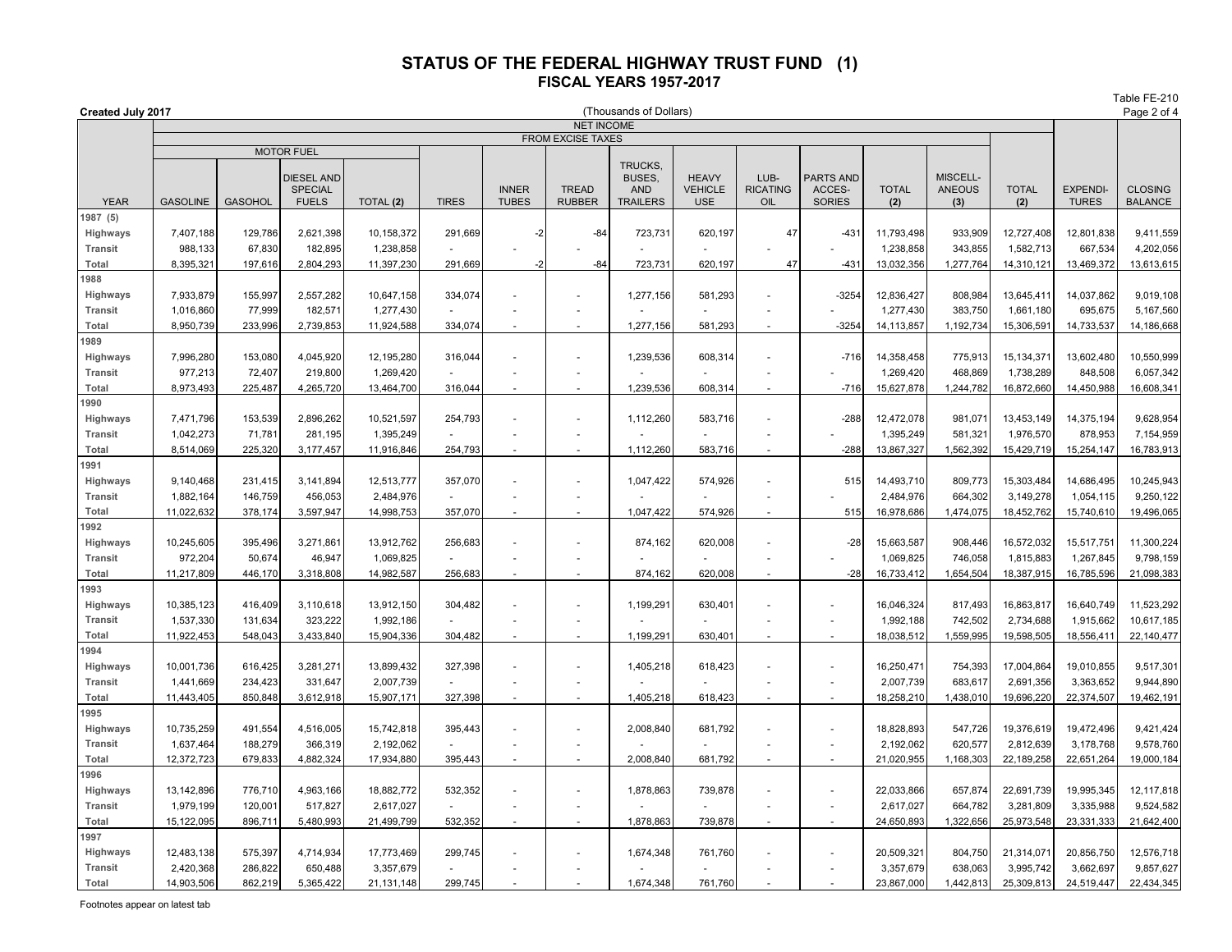|                            |                                                                  |                |                                                     |            |                       |                              |                               |                                                                 |                                              |                                |                                             |                     |                                  |                     |                                 | Table FE-210                     |
|----------------------------|------------------------------------------------------------------|----------------|-----------------------------------------------------|------------|-----------------------|------------------------------|-------------------------------|-----------------------------------------------------------------|----------------------------------------------|--------------------------------|---------------------------------------------|---------------------|----------------------------------|---------------------|---------------------------------|----------------------------------|
|                            | (Thousands of Dollars)<br>Created July 2017<br><b>NET INCOME</b> |                |                                                     |            |                       |                              |                               |                                                                 |                                              |                                |                                             |                     |                                  |                     |                                 | Page 2 of 4                      |
|                            | <b>FROM EXCISE TAXES</b>                                         |                |                                                     |            |                       |                              |                               |                                                                 |                                              |                                |                                             |                     |                                  |                     |                                 |                                  |
|                            |                                                                  |                | <b>MOTOR FUEL</b>                                   |            |                       |                              |                               |                                                                 |                                              |                                |                                             |                     |                                  |                     |                                 |                                  |
| <b>YEAR</b>                | <b>GASOLINE</b>                                                  | <b>GASOHOL</b> | <b>DIESEL AND</b><br><b>SPECIAL</b><br><b>FUELS</b> | TOTAL (2)  | <b>TIRES</b>          | <b>INNER</b><br><b>TUBES</b> | <b>TREAD</b><br><b>RUBBER</b> | <b>TRUCKS</b><br><b>BUSES.</b><br><b>AND</b><br><b>TRAILERS</b> | <b>HEAVY</b><br><b>VEHICLE</b><br><b>USE</b> | LUB-<br><b>RICATING</b><br>OIL | <b>PARTS AND</b><br>ACCES-<br><b>SORIES</b> | <b>TOTAL</b><br>(2) | MISCELL-<br><b>ANEOUS</b><br>(3) | <b>TOTAL</b><br>(2) | <b>EXPENDI-</b><br><b>TURES</b> | <b>CLOSING</b><br><b>BALANCE</b> |
| 1987 (5)                   |                                                                  |                |                                                     |            |                       |                              |                               |                                                                 |                                              |                                |                                             |                     |                                  |                     |                                 |                                  |
| Highways                   | 7,407,188                                                        | 129,786        | 2,621,398                                           | 10,158,372 | 291,669               | $-2$                         | $-84$                         | 723,731                                                         | 620,197                                      | 47                             | $-431$                                      | 11,793,498          | 933,909                          | 12,727,408          | 12,801,838                      | 9,411,559                        |
| <b>Transit</b>             | 988,133                                                          | 67,830         | 182,895                                             | 1,238,858  |                       |                              |                               |                                                                 |                                              |                                |                                             | 1,238,858           | 343,855                          | 1,582,713           | 667,534                         | 4,202,056                        |
| Total                      | 8,395,32                                                         | 197,616        | 2,804,293                                           | 11,397,230 | 291,669               | -2                           | $-84$                         | 723,731                                                         | 620,197                                      | 47                             | $-431$                                      | 13,032,356          | 1,277,764                        | 14,310,121          | 13,469,372                      | 13,613,615                       |
| 1988                       |                                                                  |                |                                                     |            |                       |                              |                               |                                                                 |                                              |                                |                                             |                     |                                  |                     |                                 |                                  |
| Highways                   | 7,933,879                                                        | 155,997        | 2,557,282                                           | 10,647,158 | 334,074               | ÷,                           |                               | 1,277,156                                                       | 581,293                                      | ÷,                             | $-3254$                                     | 12,836,427          | 808,984                          | 13,645,411          | 14,037,862                      | 9,019,108                        |
| <b>Transit</b>             | 1,016,860                                                        | 77,999         | 182,571                                             | 1,277,430  |                       |                              |                               |                                                                 |                                              |                                |                                             | 1,277,430           | 383,750                          | 1,661,180           | 695,675                         | 5,167,560                        |
| Total                      | 8,950,739                                                        | 233,996        | 2,739,853                                           | 11,924,588 | 334,074               |                              |                               | 1,277,156                                                       | 581,293                                      | $\overline{a}$                 | $-3254$                                     | 14,113,857          | 1,192,734                        | 15,306,591          | 14,733,537                      | 14,186,668                       |
| 989                        |                                                                  |                |                                                     |            |                       |                              |                               |                                                                 |                                              |                                |                                             |                     |                                  |                     |                                 |                                  |
| Highways                   | 7,996,280                                                        | 153,080        | 4,045,920                                           | 12,195,280 | 316,044               |                              |                               | 1,239,536                                                       | 608,314                                      |                                | $-716$                                      | 14,358,458          | 775,913                          | 15,134,371          | 13,602,480                      | 10,550,999                       |
| <b>Transit</b>             | 977,213                                                          | 72,407         | 219,800                                             | 1,269,420  |                       | $\sim$                       | $\overline{\phantom{a}}$      |                                                                 |                                              | $\sim$                         |                                             | 1,269,420           | 468,869                          | 1,738,289           | 848,508                         | 6,057,342                        |
| Total                      | 8,973,493                                                        | 225,487        | 4,265,720                                           | 13,464,700 | 316,044               | $\ddot{\phantom{1}}$         |                               | 1,239,536                                                       | 608,314                                      | $\sim$                         | $-716$                                      | 15,627,878          | 1,244,782                        | 16,872,660          | 14,450,988                      | 16,608,341                       |
| 990                        |                                                                  |                |                                                     |            |                       |                              |                               |                                                                 |                                              |                                |                                             |                     |                                  |                     |                                 |                                  |
| Highways                   | 7,471,796                                                        | 153,539        | 2,896,262                                           | 10,521,597 | 254,793               | L,                           | $\blacksquare$                | 1,112,260                                                       | 583,716                                      | ÷,                             | $-288$                                      | 12,472,078          | 981,071                          | 13,453,149          | 14,375,194                      | 9,628,954                        |
| <b>Transit</b>             | 1,042,273                                                        | 71,781         | 281,195                                             | 1,395,249  |                       | L,                           | $\overline{\phantom{a}}$      |                                                                 |                                              | $\sim$                         |                                             | 1,395,249           | 581,321                          | 1,976,570           | 878,953                         | 7,154,959                        |
| Total                      | 8,514,069                                                        | 225,320        | 3,177,457                                           | 11,916,846 | 254,793               |                              |                               | 1,112,260                                                       | 583,716                                      |                                | $-288$                                      | 13,867,327          | 1,562,392                        | 15,429,719          | 15,254,147                      | 16,783,913                       |
| 1991                       |                                                                  |                |                                                     |            |                       |                              |                               |                                                                 |                                              |                                |                                             |                     |                                  |                     |                                 |                                  |
| Highways                   | 9,140,468                                                        | 231,415        | 3,141,894                                           | 12,513,777 | 357,070               | ÷.                           |                               | 1,047,422                                                       | 574,926                                      |                                | 515                                         | 14,493,710          | 809,773                          | 15,303,484          | 14,686,495                      | 10,245,943                       |
| <b>Transit</b>             | 1,882,164                                                        | 146,759        | 456,053                                             | 2,484,976  |                       |                              |                               |                                                                 |                                              |                                |                                             | 2,484,976           | 664,302                          | 3,149,278           | 1,054,115                       | 9,250,122                        |
| Total                      | 11,022,632                                                       | 378,174        | 3,597,947                                           | 14,998,753 | 357,070               |                              |                               | 1,047,422                                                       | 574,926                                      | ÷,                             | 515                                         | 16,978,686          | 1,474,075                        | 18,452,762          | 15,740,610                      | 19,496,065                       |
| 1992                       |                                                                  |                |                                                     |            |                       |                              |                               |                                                                 |                                              |                                |                                             |                     |                                  |                     |                                 |                                  |
| Highways                   | 10,245,605                                                       | 395,496        | 3,271,861                                           | 13,912,762 | 256,683               | $\overline{a}$               |                               | 874,162                                                         | 620,008                                      | $\sim$                         | $-28$                                       | 15,663,587          | 908,446                          | 16,572,032          | 15,517,75                       | 11,300,224                       |
| <b>Transit</b>             | 972,204                                                          | 50,674         | 46,947                                              | 1,069,825  |                       |                              | $\ddot{\phantom{1}}$          |                                                                 |                                              |                                |                                             | 1,069,825           | 746,058                          | 1,815,883           | 1,267,845                       | 9,798,159                        |
| Total                      | 11,217,809                                                       | 446,170        | 3,318,808                                           | 14,982,587 | 256,683               |                              |                               | 874,162                                                         | 620,008                                      | $\sim$                         | $-28$                                       | 16,733,412          | 1,654,504                        | 18,387,915          | 16,785,596                      | 21,098,383                       |
| 1993                       |                                                                  |                |                                                     |            |                       |                              |                               |                                                                 |                                              |                                |                                             |                     |                                  |                     |                                 |                                  |
| Highways                   | 10,385,123                                                       | 416,409        | 3,110,618                                           | 13,912,150 | 304,482               | $\sim$                       |                               | 1,199,291                                                       | 630,401                                      | $\sim$                         | $\overline{\phantom{a}}$                    | 16,046,324          | 817,493                          | 16,863,817          | 16,640,749                      | 11,523,292                       |
| <b>Transit</b>             | 1,537,330                                                        | 131,634        | 323,222                                             | 1,992,186  |                       | ä,                           |                               |                                                                 |                                              |                                | $\blacksquare$                              | 1,992,188           | 742,502                          | 2,734,688           | 1,915,662                       | 10,617,185                       |
| Total                      | 11,922,453                                                       | 548,043        | 3,433,840                                           | 15,904,336 | 304,482               |                              |                               | 1,199,29                                                        | 630,401                                      |                                |                                             | 18,038,512          | 1,559,995                        | 19,598,505          | 18,556,411                      | 22,140,477                       |
| 994                        |                                                                  |                |                                                     |            |                       |                              |                               |                                                                 |                                              |                                |                                             |                     |                                  |                     |                                 |                                  |
| Highways                   | 10,001,736                                                       | 616,425        | 3,281,271                                           | 13,899,432 | 327,398               | L,                           |                               | 1,405,218                                                       | 618,423                                      | ÷,                             | ä,                                          | 16,250,471          | 754,393                          | 17,004,864          | 19,010,855                      | 9,517,301                        |
| <b>Transit</b>             | 1,441,669                                                        | 234,423        | 331,647                                             | 2,007,739  | $\tilde{\phantom{a}}$ | $\overline{a}$               | $\overline{a}$                |                                                                 |                                              | $\overline{\phantom{a}}$       | $\overline{\phantom{a}}$                    | 2,007,739           | 683,617                          | 2,691,356           | 3,363,652                       | 9,944,890                        |
| <b>Total</b>               | 11,443,405                                                       | 850,848        | 3,612,918                                           | 15,907,171 | 327,398               |                              |                               | 1,405,218                                                       | 618,423                                      | $\overline{a}$                 |                                             | 18,258,210          | 1,438,010                        | 19,696,220          | 22,374,507                      | 19,462,191                       |
| 1995                       |                                                                  |                |                                                     |            |                       |                              |                               |                                                                 |                                              |                                |                                             |                     |                                  |                     |                                 |                                  |
| Highways                   | 10,735,259                                                       | 491,554        | 4,516,005                                           | 15,742,818 | 395,443               |                              |                               | 2,008,840                                                       | 681,792                                      |                                |                                             | 18,828,893          | 547,726                          | 19,376,619          | 19,472,496                      | 9,421,424                        |
| <b>Transit</b>             | 1,637,464                                                        | 188,279        | 366,319                                             | 2,192,062  |                       |                              |                               |                                                                 |                                              |                                | $\blacksquare$                              | 2,192,062           | 620,577                          | 2,812,639           | 3,178,768                       | 9,578,760                        |
| Total                      | 12,372,723                                                       | 679,833        | 4,882,324                                           | 17,934,880 | 395,443               |                              |                               | 2,008,840                                                       | 681,792                                      |                                | $\sim$                                      | 21,020,955          | 1,168,303                        | 22,189,258          | 22,651,264                      | 19,000,184                       |
| 1996                       |                                                                  |                |                                                     |            |                       |                              |                               |                                                                 |                                              |                                |                                             |                     |                                  |                     |                                 |                                  |
| Highways                   | 13,142,896                                                       | 776,710        | 4,963,166                                           | 18,882,772 | 532,352               |                              |                               | 1,878,863                                                       | 739,878                                      |                                | L.                                          | 22,033,866          | 657,874                          | 22,691,739          | 19,995,345<br>3,335,988         | 12,117,818                       |
| <b>Transit</b>             | 1,979,199                                                        | 120,001        | 517,827                                             | 2,617,027  |                       |                              |                               |                                                                 |                                              |                                | $\blacksquare$                              | 2,617,027           | 664,782                          | 3,281,809           |                                 | 9,524,582                        |
| Total                      | 15,122,095                                                       | 896,711        | 5,480,993                                           | 21,499,799 | 532,352               |                              |                               | 1,878,863                                                       | 739,878                                      |                                |                                             | 24,650,893          | 1,322,656                        | 25,973,548          | 23,331,333                      | 21,642,400                       |
| 1997                       | 12,483,138                                                       | 575,397        | 4,714,934                                           | 17,773,469 | 299,745               |                              |                               |                                                                 |                                              |                                |                                             | 20,509,321          | 804,750                          | 21,314,071          | 20,856,750                      | 12,576,718                       |
| Highways<br><b>Transit</b> | 2,420,368                                                        | 286,822        | 650,488                                             | 3,357,679  |                       |                              |                               | 1,674,348                                                       | 761,760                                      |                                |                                             | 3,357,679           | 638,063                          | 3,995,742           | 3,662,697                       | 9,857,627                        |
| Total                      | 14,903,506                                                       | 862,219        | 5,365,422                                           | 21,131,148 | 299,745               |                              |                               | 1.674.348                                                       | 761,760                                      |                                |                                             | 23,867,000          | 1,442,813                        | 25,309,813          | 24,519,447                      | 22,434,345                       |
|                            |                                                                  |                |                                                     |            |                       |                              |                               |                                                                 |                                              |                                |                                             |                     |                                  |                     |                                 |                                  |

Footnotes appear on latest tab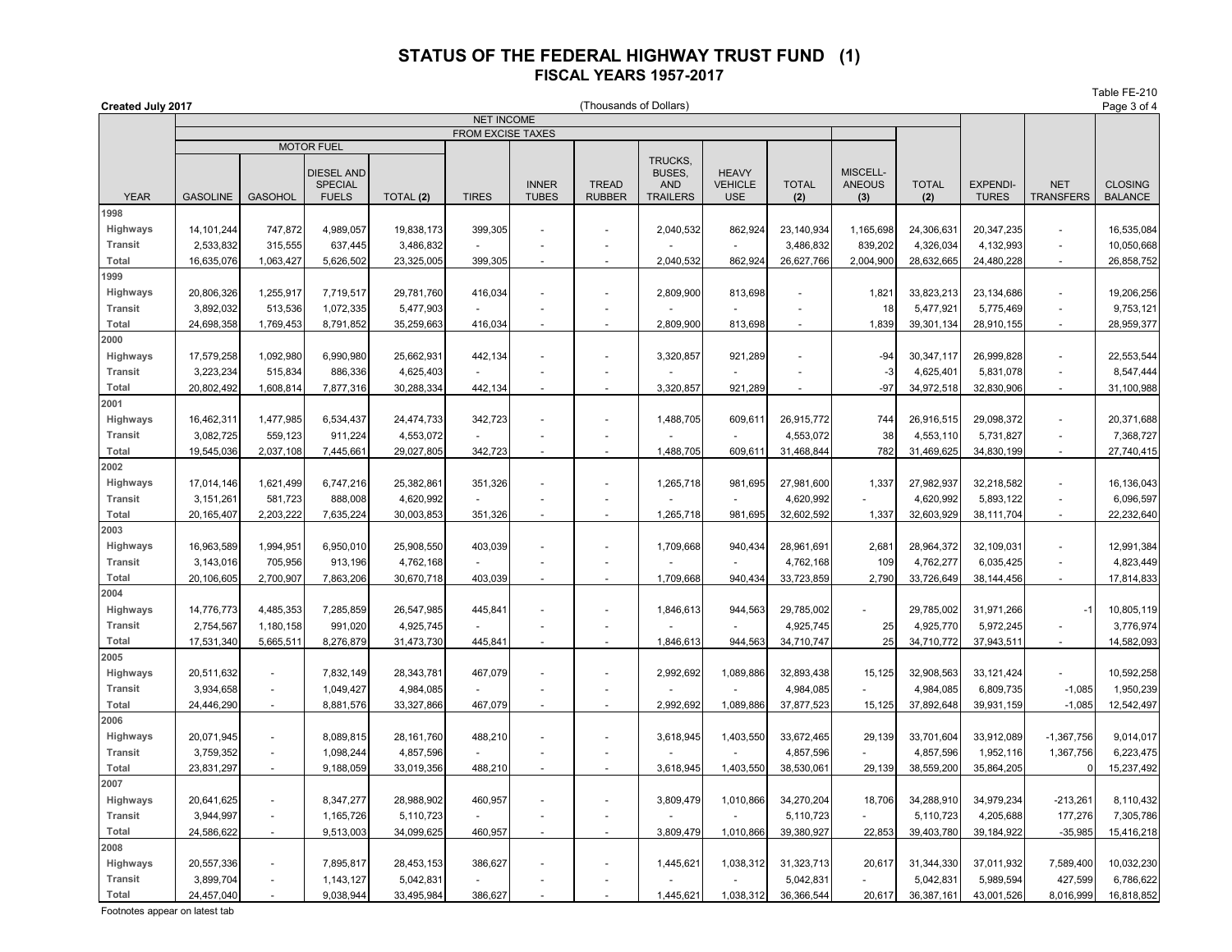Table FE-210

| Created July 2017 |                                               |                          |                              |              |              |                | (Thousands of Dollars) |                                 |                                |                |                           |              |                 |                          | Page 3 of 4    |
|-------------------|-----------------------------------------------|--------------------------|------------------------------|--------------|--------------|----------------|------------------------|---------------------------------|--------------------------------|----------------|---------------------------|--------------|-----------------|--------------------------|----------------|
|                   | <b>NET INCOME</b><br><b>FROM EXCISE TAXES</b> |                          |                              |              |              |                |                        |                                 |                                |                |                           |              |                 |                          |                |
|                   |                                               |                          | <b>MOTOR FUEL</b>            |              |              |                |                        |                                 |                                |                |                           |              |                 |                          |                |
|                   |                                               |                          | DIESEL AND<br><b>SPECIAL</b> |              |              | <b>INNER</b>   | <b>TREAD</b>           | TRUCKS.<br>BUSES,<br><b>AND</b> | <b>HEAVY</b><br><b>VEHICLE</b> | <b>TOTAL</b>   | MISCELL-<br><b>ANEOUS</b> | <b>TOTAL</b> | <b>EXPENDI-</b> | <b>NET</b>               | <b>CLOSING</b> |
| <b>YEAR</b>       | <b>GASOLINE</b>                               | <b>GASOHOL</b>           | <b>FUELS</b>                 | TOTAL (2)    | <b>TIRES</b> | <b>TUBES</b>   | <b>RUBBER</b>          | <b>TRAILERS</b>                 | <b>USE</b>                     | (2)            | (3)                       | (2)          | <b>TURES</b>    | <b>TRANSFERS</b>         | <b>BALANCE</b> |
| 1998              |                                               |                          |                              |              |              |                |                        |                                 |                                |                |                           |              |                 |                          |                |
| Highways          | 14, 101, 244                                  | 747,872                  | 4,989,057                    | 19,838,173   | 399,305      | $\overline{a}$ |                        | 2,040,532                       | 862,924                        | 23,140,934     | 1,165,698                 | 24,306,631   | 20,347,235      |                          | 16,535,084     |
| <b>Transit</b>    | 2,533,832                                     | 315,555                  | 637,445                      | 3,486,832    |              | ÷,             |                        |                                 |                                | 3,486,832      | 839,202                   | 4,326,034    | 4,132,993       | $\blacksquare$           | 10,050,668     |
| Total             | 16,635,076                                    | 1,063,427                | 5,626,502                    | 23,325,005   | 399,305      | $\blacksquare$ | ÷                      | 2,040,532                       | 862,924                        | 26,627,766     | 2,004,900                 | 28,632,665   | 24,480,228      | $\blacksquare$           | 26,858,752     |
| 1999              |                                               |                          |                              |              |              |                |                        |                                 |                                |                |                           |              |                 |                          |                |
| Highways          | 20,806,326                                    | 1,255,917                | 7,719,517                    | 29,781,760   | 416,034      | ÷.             | ä,                     | 2,809,900                       | 813,698                        |                | 1,821                     | 33,823,213   | 23,134,686      | $\overline{a}$           | 19,206,256     |
| <b>Transit</b>    | 3,892,032                                     | 513,536                  | 1,072,335                    | 5,477,903    |              | $\overline{a}$ | $\blacksquare$         |                                 |                                |                | 18                        | 5,477,921    | 5,775,469       | $\blacksquare$           | 9,753,121      |
| Total             | 24,698,358                                    | 1,769,453                | 8,791,852                    | 35,259,663   | 416,034      |                | $\sim$                 | 2,809,900                       | 813,698                        | $\overline{a}$ | 1,839                     | 39,301,134   | 28,910,155      | ÷                        | 28,959,377     |
| 2000              |                                               |                          |                              |              |              |                |                        |                                 |                                |                |                           |              |                 |                          |                |
| Highways          | 17,579,258                                    | 1,092,980                | 6,990,980                    | 25,662,931   | 442,134      | $\overline{a}$ |                        | 3,320,857                       | 921,289                        |                | $-94$                     | 30,347,117   | 26,999,828      | ÷.                       | 22,553,544     |
| <b>Transit</b>    | 3,223,234                                     | 515,834                  | 886,336                      | 4,625,403    |              | $\blacksquare$ |                        |                                 |                                |                | -3                        | 4,625,401    | 5,831,078       | $\blacksquare$           | 8,547,444      |
| Total             | 20,802,492                                    | 1,608,814                | 7,877,316                    | 30,288,334   | 442,134      |                |                        | 3,320,857                       | 921,289                        |                | $-97$                     | 34,972,518   | 32,830,906      | $\blacksquare$           | 31,100,988     |
| 2001              |                                               |                          |                              |              |              |                |                        |                                 |                                |                |                           |              |                 |                          |                |
| Highways          | 16,462,311                                    | 1,477,985                | 6,534,437                    | 24,474,733   | 342,723      |                |                        | 1,488,705                       | 609,61                         | 26,915,772     | 744                       | 26,916,515   | 29,098,372      | $\overline{\phantom{0}}$ | 20,371,688     |
| <b>Transit</b>    | 3,082,725                                     | 559,123                  | 911,224                      | 4,553,072    |              | $\overline{a}$ |                        |                                 |                                | 4,553,072      | 38                        | 4,553,110    | 5,731,827       | ٠                        | 7,368,727      |
| Total             | 19,545,036                                    | 2,037,108                | 7,445,661                    | 29,027,805   | 342,723      |                |                        | 1,488,705                       | 609,61                         | 31,468,844     | 782                       | 31,469,625   | 34,830,199      | ÷.                       | 27,740,415     |
| 2002              |                                               |                          |                              |              |              |                |                        |                                 |                                |                |                           |              |                 |                          |                |
| Highways          | 17,014,146                                    | 1,621,499                | 6,747,216                    | 25,382,861   | 351,326      | ÷.             | ÷                      | 1,265,718                       | 981,695                        | 27,981,600     | 1,337                     | 27,982,937   | 32,218,582      | L.                       | 16,136,043     |
| <b>Transit</b>    | 3, 151, 261                                   | 581,723                  | 888,008                      | 4,620,992    |              |                |                        |                                 |                                | 4,620,992      |                           | 4,620,992    | 5,893,122       | L.                       | 6,096,597      |
| Total             | 20, 165, 407                                  | 2,203,222                | 7,635,224                    | 30,003,853   | 351,326      | $\overline{a}$ | ÷                      | 1,265,718                       | 981,695                        | 32,602,592     | 1,337                     | 32,603,929   | 38,111,704      | $\overline{a}$           | 22,232,640     |
| 2003              |                                               |                          |                              |              |              |                |                        |                                 |                                |                |                           |              |                 |                          |                |
| Highways          | 16,963,589                                    | 1,994,951                | 6,950,010                    | 25,908,550   | 403,039      | ÷.             | ÷.                     | 1,709,668                       | 940,434                        | 28,961,691     | 2,681                     | 28,964,372   | 32,109,031      | $\overline{a}$           | 12,991,384     |
| <b>Transit</b>    | 3,143,016                                     | 705,956                  | 913,196                      | 4,762,168    |              |                |                        |                                 |                                | 4,762,168      | 109                       | 4,762,277    | 6,035,425       | L.                       | 4,823,449      |
| Total             | 20,106,605                                    | 2,700,907                | 7,863,206                    | 30,670,718   | 403,039      | ÷,             |                        | 1,709,668                       | 940,434                        | 33,723,859     | 2,790                     | 33,726,649   | 38,144,456      | $\overline{a}$           | 17,814,833     |
| 2004              |                                               |                          |                              |              |              |                |                        |                                 |                                |                |                           |              |                 |                          |                |
| Highways          | 14,776,773                                    | 4,485,353                | 7,285,859                    | 26,547,985   | 445,841      |                |                        | 1,846,613                       | 944,563                        | 29,785,002     |                           | 29,785,002   | 31,971,266      | $-1$                     | 10,805,119     |
| <b>Transit</b>    | 2,754,567                                     | 1,180,158                | 991,020                      | 4,925,745    |              |                |                        |                                 |                                | 4,925,745      | 25                        | 4,925,770    | 5,972,245       | ÷.                       | 3,776,974      |
| Total             | 17,531,340                                    | 5,665,511                | 8,276,879                    | 31,473,730   | 445,841      | $\overline{a}$ | $\sim$                 | 1,846,613                       | 944,563                        | 34,710,747     | 25                        | 34,710,772   | 37,943,511      | $\blacksquare$           | 14,582,093     |
| 2005              |                                               |                          |                              |              |              |                |                        |                                 |                                |                |                           |              |                 |                          |                |
| Highways          | 20,511,632                                    | ä,                       | 7,832,149                    | 28,343,781   | 467,079      | $\overline{a}$ | $\sim$                 | 2,992,692                       | 1,089,886                      | 32,893,438     | 15,125                    | 32,908,563   | 33,121,424      |                          | 10,592,258     |
| <b>Transit</b>    | 3,934,658                                     | $\overline{\phantom{a}}$ | 1,049,427                    | 4,984,085    |              |                |                        |                                 |                                | 4,984,085      |                           | 4,984,085    | 6,809,735       | $-1,085$                 | 1,950,239      |
| Total             | 24,446,290                                    | $\overline{\phantom{a}}$ | 8,881,576                    | 33,327,866   | 467,079      | $\sim$         | $\blacksquare$         | 2,992,692                       | 1,089,886                      | 37,877,523     | 15,125                    | 37,892,648   | 39,931,159      | $-1,085$                 | 12,542,497     |
| 2006              |                                               |                          |                              |              |              |                |                        |                                 |                                |                |                           |              |                 |                          |                |
| Highways          | 20,071,945                                    | ÷,                       | 8,089,815                    | 28, 161, 760 | 488,210      | ÷,             |                        | 3,618,945                       | 1,403,550                      | 33,672,465     | 29,139                    | 33,701,604   | 33,912,089      | $-1,367,756$             | 9,014,017      |
| <b>Transit</b>    | 3,759,352                                     | ä,                       | 1,098,244                    | 4,857,596    |              |                | ÷,                     |                                 |                                | 4,857,596      |                           | 4,857,596    | 1,952,116       | 1,367,756                | 6,223,475      |
| Total             | 23,831,297                                    |                          | 9,188,059                    | 33,019,356   | 488,210      |                |                        | 3,618,945                       | 1,403,550                      | 38,530,06      | 29,139                    | 38,559,200   | 35,864,205      |                          | 15,237,492     |
| 2007              |                                               |                          |                              |              |              |                |                        |                                 |                                |                |                           |              |                 |                          |                |
| Highways          | 20,641,625                                    | ÷                        | 8,347,277                    | 28,988,902   | 460,957      | $\overline{a}$ | $\blacksquare$         | 3,809,479                       | 1,010,866                      | 34,270,204     | 18,706                    | 34,288,910   | 34,979,234      | $-213,261$               | 8,110,432      |
| <b>Transit</b>    | 3,944,997                                     | ä,                       | 1,165,726                    | 5,110,723    |              | ä,             | ÷                      |                                 |                                | 5,110,723      |                           | 5,110,723    | 4,205,688       | 177,276                  | 7,305,786      |
| Total             | 24,586,622                                    | ä,                       | 9,513,003                    | 34,099,625   | 460,957      | ÷.             | ÷                      | 3,809,479                       | 1,010,866                      | 39,380,927     | 22,853                    | 39,403,780   | 39,184,922      | $-35,985$                | 15,416,218     |
| 2008              |                                               |                          |                              |              |              |                |                        |                                 |                                |                |                           |              |                 |                          |                |
| Highways          | 20,557,336                                    | ÷,                       | 7,895,817                    | 28,453,153   | 386,627      |                |                        | 1,445,621                       | 1,038,312                      | 31,323,713     | 20,617                    | 31,344,330   | 37,011,932      | 7,589,400                | 10,032,230     |
| <b>Transit</b>    | 3,899,704                                     | L.                       | 1,143,127                    | 5,042,831    |              |                |                        |                                 |                                | 5,042,831      |                           | 5,042,831    | 5,989,594       | 427,599                  | 6,786,622      |
| Total             | 24,457,040                                    |                          | 9,038,944                    | 33,495,984   | 386,627      |                |                        | 1,445,621                       | 1,038,312                      | 36,366,544     | 20,617                    | 36,387,161   | 43,001,526      | 8,016,999                | 16,818,852     |

Footnotes appear on latest tab